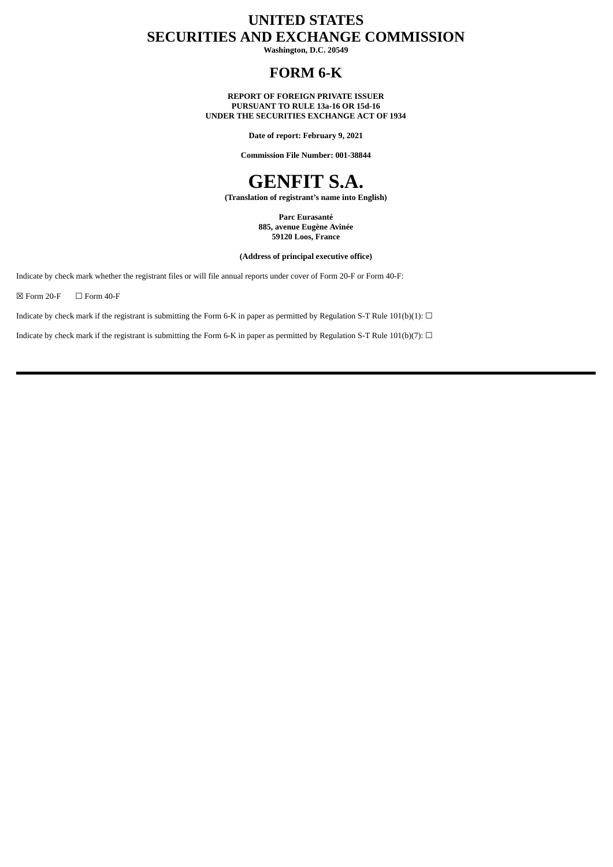# **UNITED STATES SECURITIES AND EXCHANGE COMMISSION**

**Washington, D.C. 20549**

## **FORM 6-K**

**REPORT OF FOREIGN PRIVATE ISSUER PURSUANT TO RULE 13a-16 OR 15d-16 UNDER THE SECURITIES EXCHANGE ACT OF 1934**

**Date of report: February 9, 2021**

**Commission File Number: 001-38844**



**(Translation of registrant's name into English)**

**Parc Eurasanté 885, avenue Eugène Avinée 59120 Loos, France**

**(Address of principal executive office)**

Indicate by check mark whether the registrant files or will file annual reports under cover of Form 20-F or Form 40-F:

 $\boxtimes$  Form 20-F  $\Box$  Form 40-F

Indicate by check mark if the registrant is submitting the Form 6-K in paper as permitted by Regulation S-T Rule 101(b)(1):  $\Box$ 

Indicate by check mark if the registrant is submitting the Form 6-K in paper as permitted by Regulation S-T Rule 101(b)(7):  $\Box$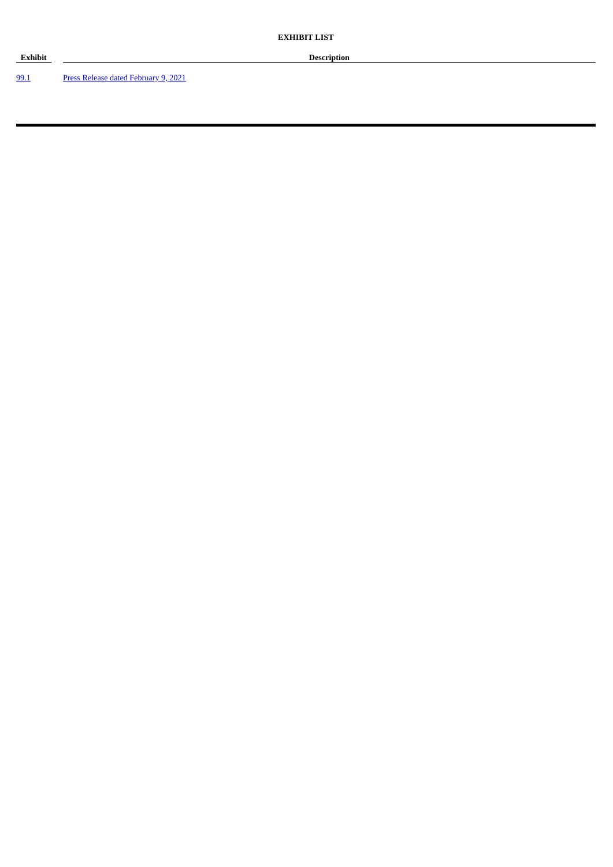**Exhibit Description**

[99.1](#page-3-0) Press Release dated [February](#page-3-0) 9, 2021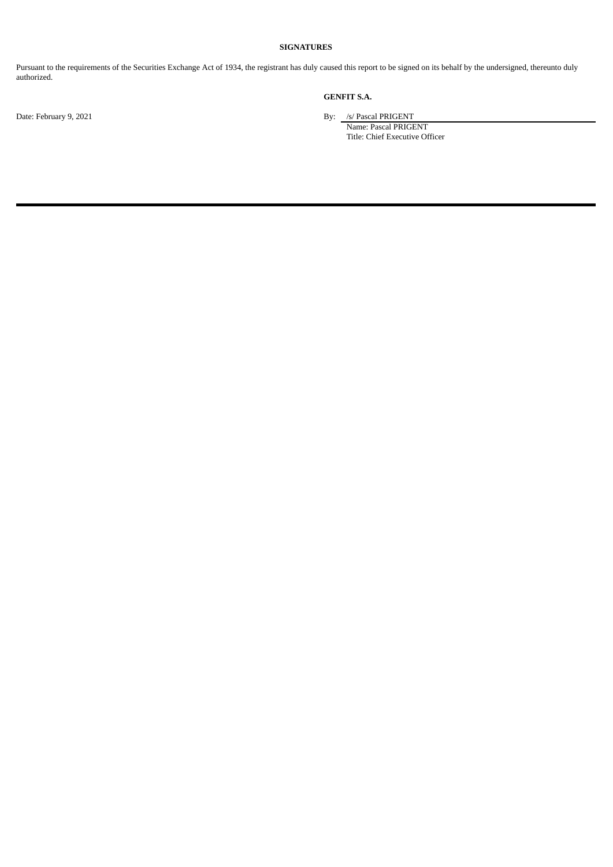### **SIGNATURES**

Pursuant to the requirements of the Securities Exchange Act of 1934, the registrant has duly caused this report to be signed on its behalf by the undersigned, thereunto duly authorized.

## **GENFIT S.A.**

Date: February 9, 2021 By: /s/ Pascal PRIGENT

Name: Pascal PRIGENT Title: Chief Executive Officer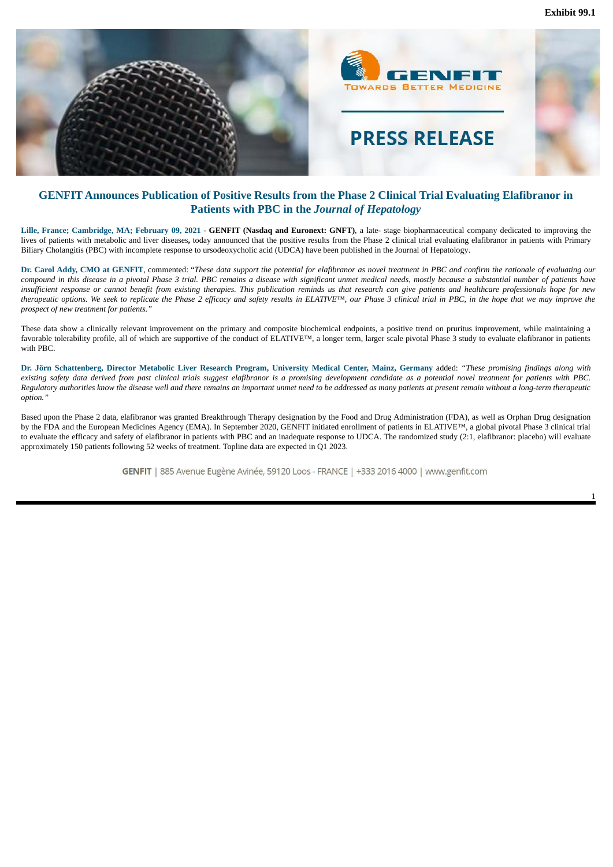**Exhibit 99.1**

<span id="page-3-0"></span>

### **GENFIT Announces Publication of Positive Results from the Phase 2 Clinical Trial Evaluating Elafibranor in Patients with PBC in the** *Journal of Hepatology*

Lille, France; Cambridge, MA; February 09, 2021 - GENFIT (Nasdaq and Euronext: GNFT), a late- stage biopharmaceutical company dedicated to improving the lives of patients with metabolic and liver diseases**,** today announced that the positive results from the Phase 2 clinical trial evaluating elafibranor in patients with Primary Biliary Cholangitis (PBC) with incomplete response to ursodeoxycholic acid (UDCA) have been published in the Journal of Hepatology.

Dr. Carol Addy, CMO at GENFIT, commented: "These data support the potential for elafibranor as novel treatment in PBC and confirm the rationale of evaluating our compound in this disease in a pivotal Phase 3 trial. PBC remains a disease with significant unmet medical needs, mostly because a substantial number of patients have insufficient response or cannot benefit from existing therapies. This publication reminds us that research can aive patients and healthcare professionals hope for new therapeutic options. We seek to replicate the Phase 2 efficacy and safety results in ELATIVE™, our Phase 3 clinical trial in PBC, in the hope that we may improve the *prospect of new treatment for patients."*

These data show a clinically relevant improvement on the primary and composite biochemical endpoints, a positive trend on pruritus improvement, while maintaining a favorable tolerability profile, all of which are supportive of the conduct of ELATIVE™, a longer term, larger scale pivotal Phase 3 study to evaluate elafibranor in patients with PBC.

Dr. Jörn Schattenberg, Director Metabolic Liver Research Program, University Medical Center, Mainz, Germany added: "These promising findings along with existing safety data derived from past clinical trials suggest elafibranor is a promising development candidate as a potential novel treatment for patients with PBC. Regulatory authorities know the disease well and there remains an important unmet need to be addressed as many patients at present remain without a long-term therapeutic *option."*

Based upon the Phase 2 data, elafibranor was granted Breakthrough Therapy designation by the Food and Drug Administration (FDA), as well as Orphan Drug designation by the FDA and the European Medicines Agency (EMA). In September 2020, GENFIT initiated enrollment of patients in ELATIVE™, a global pivotal Phase 3 clinical trial to evaluate the efficacy and safety of elafibranor in patients with PBC and an inadequate response to UDCA. The randomized study (2:1, elafibranor: placebo) will evaluate approximately 150 patients following 52 weeks of treatment. Topline data are expected in Q1 2023.

GENFIT | 885 Avenue Eugène Avinée, 59120 Loos - FRANCE | +333 2016 4000 | www.genfit.com